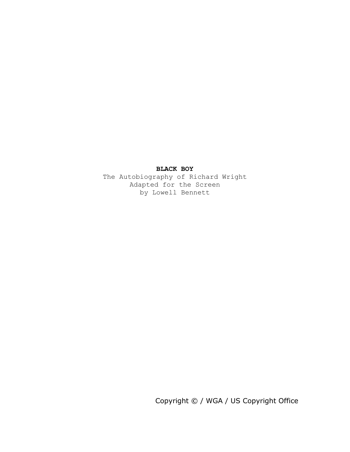## **BLACK BOY**

The Autobiography of Richard Wright Adapted for the Screen by Lowell Bennett

Copyright © / WGA / US Copyright Office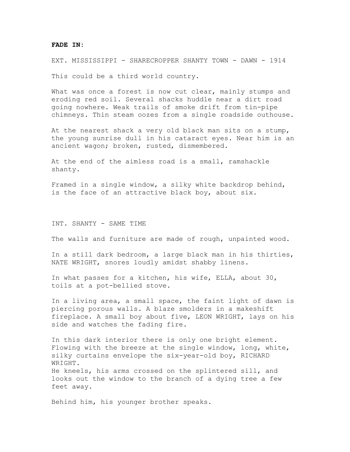## **FADE IN:**

EXT. MISSISSIPPI - SHARECROPPER SHANTY TOWN - DAWN - 1914

This could be a third world country.

What was once a forest is now cut clear, mainly stumps and eroding red soil. Several shacks huddle near a dirt road going nowhere. Weak trails of smoke drift from tin-pipe chimneys. Thin steam oozes from a single roadside outhouse.

At the nearest shack a very old black man sits on a stump, the young sunrise dull in his cataract eyes. Near him is an ancient wagon; broken, rusted, dismembered.

At the end of the aimless road is a small, ramshackle shanty.

Framed in a single window, a silky white backdrop behind, is the face of an attractive black boy, about six.

INT. SHANTY - SAME TIME

The walls and furniture are made of rough, unpainted wood.

In a still dark bedroom, a large black man in his thirties, NATE WRIGHT, snores loudly amidst shabby linens.

In what passes for a kitchen, his wife, ELLA, about 30, toils at a pot-bellied stove.

In a living area, a small space, the faint light of dawn is piercing porous walls. A blaze smolders in a makeshift fireplace. A small boy about five, LEON WRIGHT, lays on his side and watches the fading fire.

In this dark interior there is only one bright element. Flowing with the breeze at the single window, long, white, silky curtains envelope the six-year-old boy, RICHARD WRIGHT. He kneels, his arms crossed on the splintered sill, and looks out the window to the branch of a dying tree a few feet away.

Behind him, his younger brother speaks.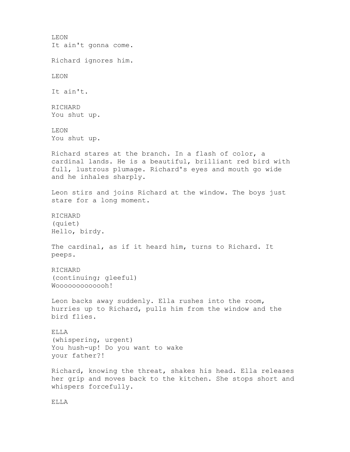LEON It ain't gonna come. Richard ignores him. LEON It ain't. RICHARD You shut up. LEON You shut up. Richard stares at the branch. In a flash of color, a cardinal lands. He is a beautiful, brilliant red bird with full, lustrous plumage. Richard's eyes and mouth go wide and he inhales sharply. Leon stirs and joins Richard at the window. The boys just stare for a long moment. RICHARD (quiet) Hello, birdy. The cardinal, as if it heard him, turns to Richard. It peeps. RICHARD (continuing; gleeful) Wooooooooooh! Leon backs away suddenly. Ella rushes into the room, hurries up to Richard, pulls him from the window and the bird flies. ELLA (whispering, urgent) You hush-up! Do you want to wake your father?! Richard, knowing the threat, shakes his head. Ella releases her grip and moves back to the kitchen. She stops short and whispers forcefully.

ELLA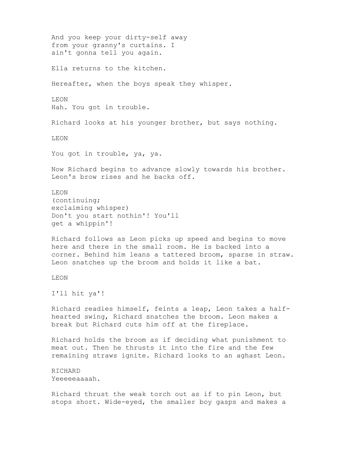And you keep your dirty-self away from your granny's curtains. I ain't gonna tell you again. Ella returns to the kitchen. Hereafter, when the boys speak they whisper. LEON Hah. You got in trouble. Richard looks at his younger brother, but says nothing. LEON You got in trouble, ya, ya. Now Richard begins to advance slowly towards his brother. Leon's brow rises and he backs off. LEON (continuing; exclaiming whisper) Don't you start nothin'! You'll get a whippin'! Richard follows as Leon picks up speed and begins to move here and there in the small room. He is backed into a corner. Behind him leans a tattered broom, sparse in straw. Leon snatches up the broom and holds it like a bat. LEON I'll hit ya'! Richard readies himself, feints a leap, Leon takes a halfhearted swing, Richard snatches the broom. Leon makes a break but Richard cuts him off at the fireplace. Richard holds the broom as if deciding what punishment to meat out. Then he thrusts it into the fire and the few remaining straws ignite. Richard looks to an aghast Leon. RICHARD Yeeeeeaaaah. Richard thrust the weak torch out as if to pin Leon, but stops short. Wide-eyed, the smaller boy gasps and makes a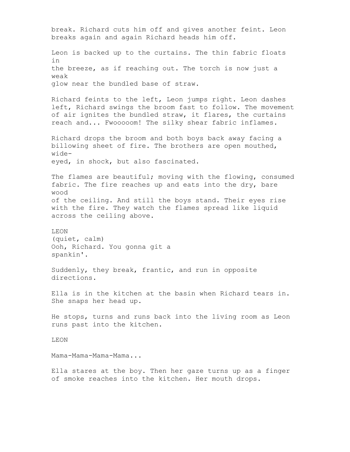break. Richard cuts him off and gives another feint. Leon breaks again and again Richard heads him off. Leon is backed up to the curtains. The thin fabric floats in the breeze, as if reaching out. The torch is now just a weak glow near the bundled base of straw. Richard feints to the left, Leon jumps right. Leon dashes left, Richard swings the broom fast to follow. The movement of air ignites the bundled straw, it flares, the curtains reach and... Fwooooom! The silky shear fabric inflames. Richard drops the broom and both boys back away facing a billowing sheet of fire. The brothers are open mouthed, wideeyed, in shock, but also fascinated. The flames are beautiful; moving with the flowing, consumed fabric. The fire reaches up and eats into the dry, bare wood of the ceiling. And still the boys stand. Their eyes rise with the fire. They watch the flames spread like liquid across the ceiling above. LEON (quiet, calm) Ooh, Richard. You gonna git a spankin'. Suddenly, they break, frantic, and run in opposite directions. Ella is in the kitchen at the basin when Richard tears in. She snaps her head up. He stops, turns and runs back into the living room as Leon runs past into the kitchen. LEON Mama-Mama-Mama-Mama... Ella stares at the boy. Then her gaze turns up as a finger of smoke reaches into the kitchen. Her mouth drops.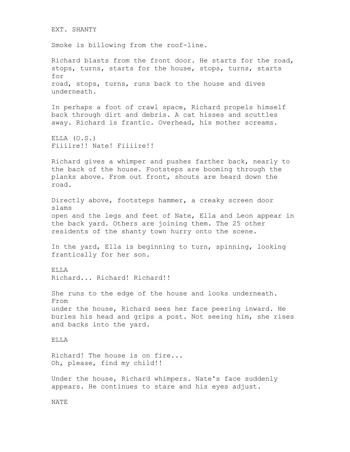EXT. SHANTY Smoke is billowing from the roof-line. Richard blasts from the front door. He starts for the road, stops, turns, starts for the house, stops, turns, starts for road, stops, turns, runs back to the house and dives underneath. In perhaps a foot of crawl space, Richard propels himself back through dirt and debris. A cat hisses and scuttles away. Richard is frantic. Overhead, his mother screams. ELLA (O.S.) Fiiiire!! Nate! Fiiiire!! Richard gives a whimper and pushes farther back, nearly to the back of the house. Footsteps are booming through the planks above. From out front, shouts are heard down the road. Directly above, footsteps hammer, a creaky screen door slams open and the legs and feet of Nate, Ella and Leon appear in the back yard. Others are joining them. The 25 other residents of the shanty town hurry onto the scene. In the yard, Ella is beginning to turn, spinning, looking frantically for her son. ELLA Richard... Richard! Richard!! She runs to the edge of the house and looks underneath. From under the house, Richard sees her face peering inward. He buries his head and grips a post. Not seeing him, she rises and backs into the yard. ELLA Richard! The house is on fire... Oh, please, find my child!! Under the house, Richard whimpers. Nate's face suddenly appears. He continues to stare and his eyes adjust. NATE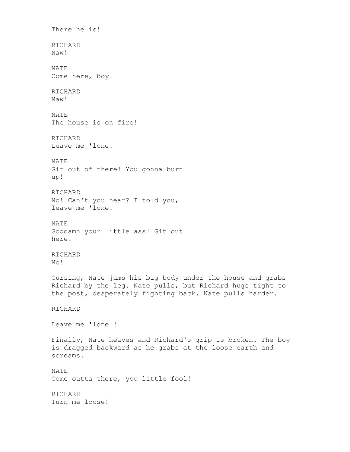There he is! RICHARD Naw! NATE Come here, boy! RICHARD Naw! NATE The house is on fire! RICHARD Leave me 'lone! NATE Git out of there! You gonna burn up! RICHARD No! Can't you hear? I told you, leave me 'lone! NATE Goddamn your little ass! Git out here! RICHARD No! Cursing, Nate jams his big body under the house and grabs Richard by the leg. Nate pulls, but Richard hugs tight to the post, desperately fighting back. Nate pulls harder. RICHARD Leave me 'lone!! Finally, Nate heaves and Richard's grip is broken. The boy is dragged backward as he grabs at the loose earth and screams. NATE Come outta there, you little fool! RICHARD Turn me loose!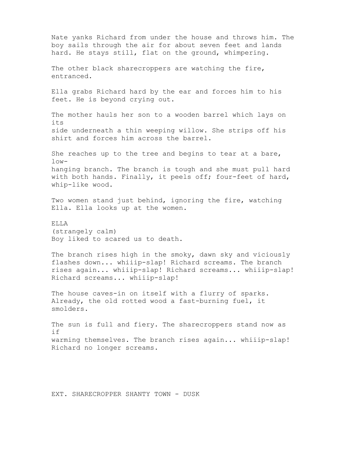Nate yanks Richard from under the house and throws him. The boy sails through the air for about seven feet and lands hard. He stays still, flat on the ground, whimpering. The other black sharecroppers are watching the fire, entranced. Ella grabs Richard hard by the ear and forces him to his feet. He is beyond crying out. The mother hauls her son to a wooden barrel which lays on its side underneath a thin weeping willow. She strips off his shirt and forces him across the barrel. She reaches up to the tree and begins to tear at a bare,  $low$ hanging branch. The branch is tough and she must pull hard with both hands. Finally, it peels off; four-feet of hard, whip-like wood. Two women stand just behind, ignoring the fire, watching Ella. Ella looks up at the women. ELLA (strangely calm) Boy liked to scared us to death. The branch rises high in the smoky, dawn sky and viciously flashes down... whiiip-slap! Richard screams. The branch rises again... whiiip-slap! Richard screams... whiiip-slap! Richard screams... whiiip-slap! The house caves-in on itself with a flurry of sparks. Already, the old rotted wood a fast-burning fuel, it smolders. The sun is full and fiery. The sharecroppers stand now as if warming themselves. The branch rises again... whiiip-slap! Richard no longer screams.

EXT. SHARECROPPER SHANTY TOWN - DUSK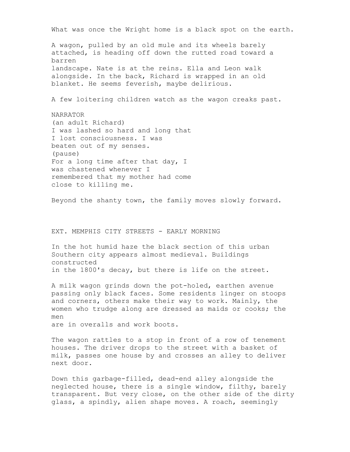What was once the Wright home is a black spot on the earth. A wagon, pulled by an old mule and its wheels barely attached, is heading off down the rutted road toward a barren landscape. Nate is at the reins. Ella and Leon walk alongside. In the back, Richard is wrapped in an old blanket. He seems feverish, maybe delirious. A few loitering children watch as the wagon creaks past. NARRATOR (an adult Richard) I was lashed so hard and long that I lost consciousness. I was beaten out of my senses. (pause) For a long time after that day, I was chastened whenever I remembered that my mother had come close to killing me. Beyond the shanty town, the family moves slowly forward. EXT. MEMPHIS CITY STREETS - EARLY MORNING In the hot humid haze the black section of this urban Southern city appears almost medieval. Buildings constructed in the 1800's decay, but there is life on the street. A milk wagon grinds down the pot-holed, earthen avenue passing only black faces. Some residents linger on stoops and corners, others make their way to work. Mainly, the women who trudge along are dressed as maids or cooks; the men are in overalls and work boots. The wagon rattles to a stop in front of a row of tenement houses. The driver drops to the street with a basket of milk, passes one house by and crosses an alley to deliver next door.

Down this garbage-filled, dead-end alley alongside the neglected house, there is a single window, filthy, barely transparent. But very close, on the other side of the dirty glass, a spindly, alien shape moves. A roach, seemingly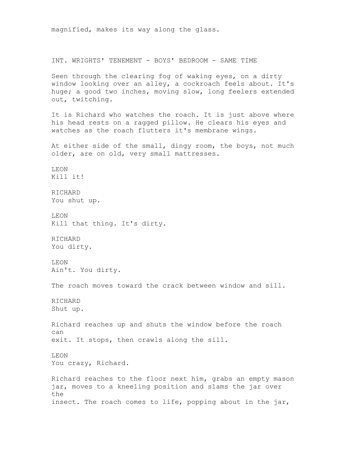magnified, makes its way along the glass. INT. WRIGHTS' TENEMENT - BOYS' BEDROOM - SAME TIME Seen through the clearing fog of waking eyes, on a dirty window looking over an alley, a cockroach feels about. It's huge; a good two inches, moving slow, long feelers extended out, twitching. It is Richard who watches the roach. It is just above where his head rests on a ragged pillow. He clears his eyes and watches as the roach flutters it's membrane wings. At either side of the small, dingy room, the boys, not much older, are on old, very small mattresses. LEON Kill it! RICHARD You shut up. LEON Kill that thing. It's dirty. RICHARD You dirty. LEON Ain't. You dirty. The roach moves toward the crack between window and sill. RICHARD Shut up. Richard reaches up and shuts the window before the roach can exit. It stops, then crawls along the sill. LEON You crazy, Richard. Richard reaches to the floor next him, grabs an empty mason jar, moves to a kneeling position and slams the jar over the insect. The roach comes to life, popping about in the jar,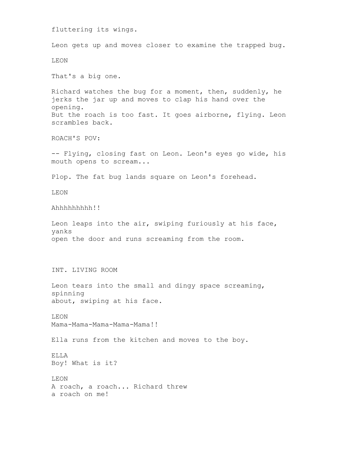fluttering its wings. Leon gets up and moves closer to examine the trapped bug. LEON That's a big one. Richard watches the bug for a moment, then, suddenly, he jerks the jar up and moves to clap his hand over the opening. But the roach is too fast. It goes airborne, flying. Leon scrambles back. ROACH'S POV: -- Flying, closing fast on Leon. Leon's eyes go wide, his mouth opens to scream... Plop. The fat bug lands square on Leon's forehead. LEON Ahhhhhhhhh!! Leon leaps into the air, swiping furiously at his face, yanks open the door and runs screaming from the room. INT. LIVING ROOM Leon tears into the small and dingy space screaming, spinning about, swiping at his face. LEON Mama-Mama-Mama-Mama-Mama!! Ella runs from the kitchen and moves to the boy. ELLA Boy! What is it? LEON A roach, a roach... Richard threw a roach on me!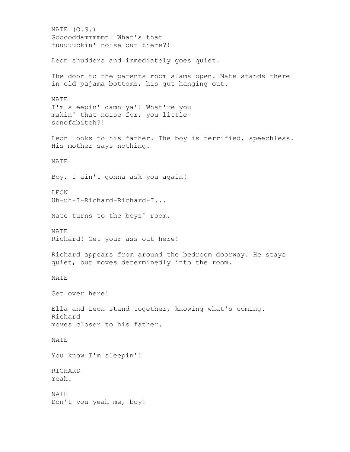NATE (O.S.) Gooooddammmmmn! What's that fuuuuuckin' noise out there?! Leon shudders and immediately goes quiet. The door to the parents room slams open. Nate stands there in old pajama bottoms, his gut hanging out. NATE I'm sleepin' damn ya'! What're you makin' that noise for, you little sonofabitch?! Leon looks to his father. The boy is terrified, speechless. His mother says nothing. NATE Boy, I ain't gonna ask you again! LEON Uh-uh-I-Richard-Richard-I... Nate turns to the boys' room. NATE Richard! Get your ass out here! Richard appears from around the bedroom doorway. He stays quiet, but moves determinedly into the room. NATE Get over here! Ella and Leon stand together, knowing what's coming. Richard moves closer to his father. NATE You know I'm sleepin'! RICHARD Yeah. NATE Don't you yeah me, boy!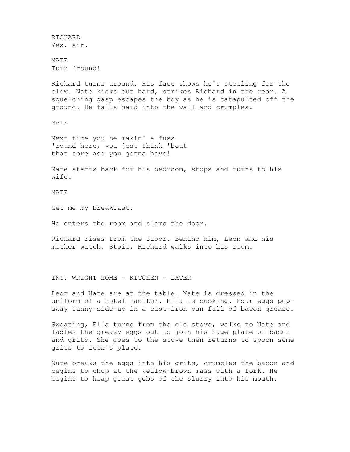RICHARD Yes, sir.

NATE Turn 'round!

Richard turns around. His face shows he's steeling for the blow. Nate kicks out hard, strikes Richard in the rear. A squelching gasp escapes the boy as he is catapulted off the ground. He falls hard into the wall and crumples.

NATE

Next time you be makin' a fuss 'round here, you jest think 'bout that sore ass you gonna have!

Nate starts back for his bedroom, stops and turns to his wife.

NATE

Get me my breakfast.

He enters the room and slams the door.

Richard rises from the floor. Behind him, Leon and his mother watch. Stoic, Richard walks into his room.

INT. WRIGHT HOME - KITCHEN - LATER

Leon and Nate are at the table. Nate is dressed in the uniform of a hotel janitor. Ella is cooking. Four eggs popaway sunny-side-up in a cast-iron pan full of bacon grease.

Sweating, Ella turns from the old stove, walks to Nate and ladles the greasy eggs out to join his huge plate of bacon and grits. She goes to the stove then returns to spoon some grits to Leon's plate.

Nate breaks the eggs into his grits, crumbles the bacon and begins to chop at the yellow-brown mass with a fork. He begins to heap great gobs of the slurry into his mouth.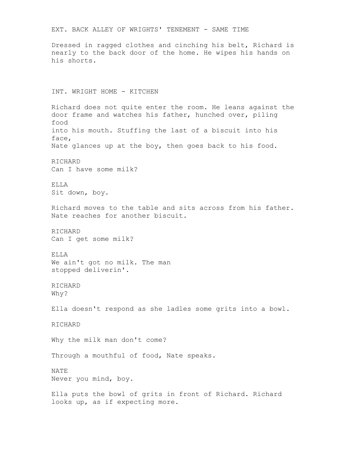EXT. BACK ALLEY OF WRIGHTS' TENEMENT - SAME TIME Dressed in ragged clothes and cinching his belt, Richard is nearly to the back door of the home. He wipes his hands on his shorts. INT. WRIGHT HOME - KITCHEN Richard does not quite enter the room. He leans against the door frame and watches his father, hunched over, piling food into his mouth. Stuffing the last of a biscuit into his face, Nate glances up at the boy, then goes back to his food. RICHARD Can I have some milk? ELLA Sit down, boy. Richard moves to the table and sits across from his father. Nate reaches for another biscuit. RICHARD Can I get some milk? ELLA We ain't got no milk. The man stopped deliverin'. RICHARD Why? Ella doesn't respond as she ladles some grits into a bowl. RICHARD Why the milk man don't come? Through a mouthful of food, Nate speaks. NATE Never you mind, boy. Ella puts the bowl of grits in front of Richard. Richard looks up, as if expecting more.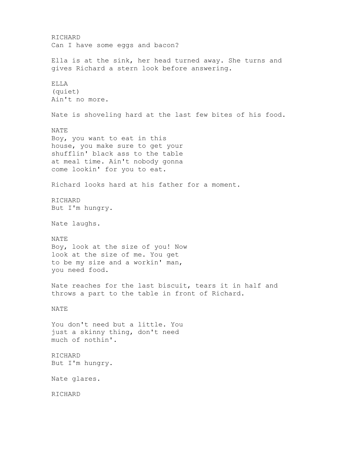RICHARD Can I have some eggs and bacon? Ella is at the sink, her head turned away. She turns and gives Richard a stern look before answering. ELLA (quiet) Ain't no more. Nate is shoveling hard at the last few bites of his food. NATE Boy, you want to eat in this house, you make sure to get your shufflin' black ass to the table at meal time. Ain't nobody gonna come lookin' for you to eat. Richard looks hard at his father for a moment. RICHARD But I'm hungry. Nate laughs. NATE Boy, look at the size of you! Now look at the size of me. You get to be my size and a workin' man, you need food. Nate reaches for the last biscuit, tears it in half and throws a part to the table in front of Richard. NATE You don't need but a little. You just a skinny thing, don't need much of nothin'. RICHARD But I'm hungry. Nate glares. RICHARD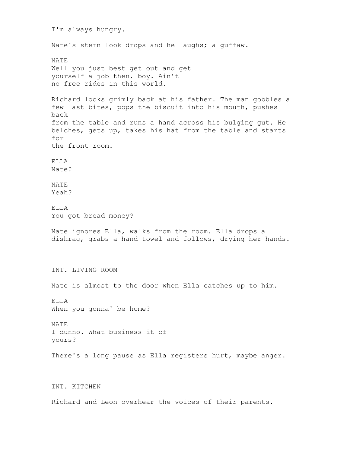I'm always hungry. Nate's stern look drops and he laughs; a guffaw. NATE Well you just best get out and get yourself a job then, boy. Ain't no free rides in this world. Richard looks grimly back at his father. The man gobbles a few last bites, pops the biscuit into his mouth, pushes back from the table and runs a hand across his bulging gut. He belches, gets up, takes his hat from the table and starts for the front room. ELLA Nate? NATE Yeah? ELLA You got bread money? Nate ignores Ella, walks from the room. Ella drops a dishrag, grabs a hand towel and follows, drying her hands. INT. LIVING ROOM Nate is almost to the door when Ella catches up to him. ELLA When you gonna' be home? NATE I dunno. What business it of yours? There's a long pause as Ella registers hurt, maybe anger. INT. KITCHEN

Richard and Leon overhear the voices of their parents.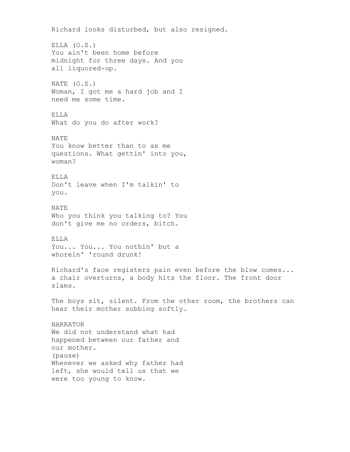Richard looks disturbed, but also resigned. ELLA (O.S.) You ain't been home before midnight for three days. And you all liquored-up. NATE (O.S.) Woman, I got me a hard job and I need me some time. ELLA What do you do after work? NATE You know better than to ax me questions. What gettin' into you, woman? ELLA Don't leave when I'm talkin' to you. NATE Who you think you talking to? You don't give me no orders, bitch. ELLA You... You... You nothin' but a whorein' 'round drunk! Richard's face registers pain even before the blow comes... a chair overturns, a body hits the floor. The front door slams. The boys sit, silent. From the other room, the brothers can hear their mother sobbing softly. NARRATOR We did not understand what had happened between our father and our mother. (pause) Whenever we asked why father had left, she would tell us that we were too young to know.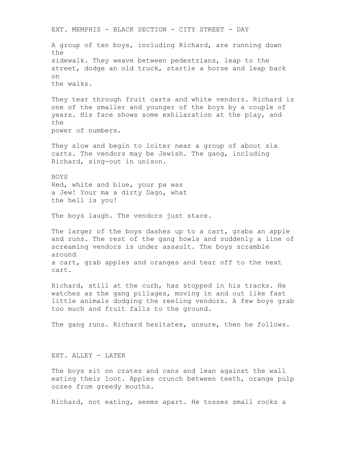EXT. MEMPHIS - BLACK SECTION - CITY STREET - DAY A group of ten boys, including Richard, are running down the sidewalk. They weave between pedestrians, leap to the street, dodge an old truck, startle a horse and leap back on the walks. They tear through fruit carts and white vendors. Richard is one of the smaller and younger of the boys by a couple of years. His face shows some exhilaration at the play, and the power of numbers. They slow and begin to loiter near a group of about six carts. The vendors may be Jewish. The gang, including Richard, sing-out in unison. BOYS Red, white and blue, your pa was a Jew! Your ma a dirty Dago, what the hell is you! The boys laugh. The vendors just stare. The larger of the boys dashes up to a cart, grabs an apple and runs. The rest of the gang howls and suddenly a line of screaming vendors is under assault. The boys scramble around a cart, grab apples and oranges and tear off to the next cart. Richard, still at the curb, has stopped in his tracks. He watches as the gang pillages, moving in and out like fast little animals dodging the reeling vendors. A few boys grab too much and fruit falls to the ground. The gang runs. Richard hesitates, unsure, then he follows. EXT. ALLEY - LATER The boys sit on crates and cans and lean against the wall eating their loot. Apples crunch between teeth, orange pulp oozes from greedy mouths. Richard, not eating, seems apart. He tosses small rocks a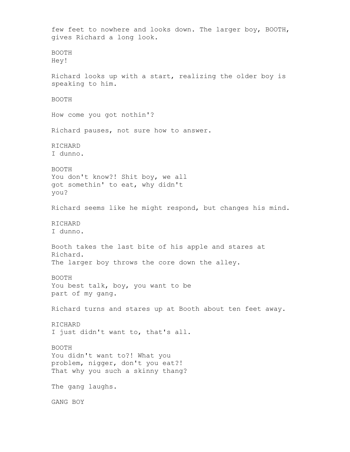few feet to nowhere and looks down. The larger boy, BOOTH, gives Richard a long look. BOOTH Hey! Richard looks up with a start, realizing the older boy is speaking to him. BOOTH How come you got nothin'? Richard pauses, not sure how to answer. RICHARD I dunno. BOOTH You don't know?! Shit boy, we all got somethin' to eat, why didn't you? Richard seems like he might respond, but changes his mind. RICHARD I dunno. Booth takes the last bite of his apple and stares at Richard. The larger boy throws the core down the alley. BOOTH You best talk, boy, you want to be part of my gang. Richard turns and stares up at Booth about ten feet away. RICHARD I just didn't want to, that's all. BOOTH You didn't want to?! What you problem, nigger, don't you eat?! That why you such a skinny thang? The gang laughs. GANG BOY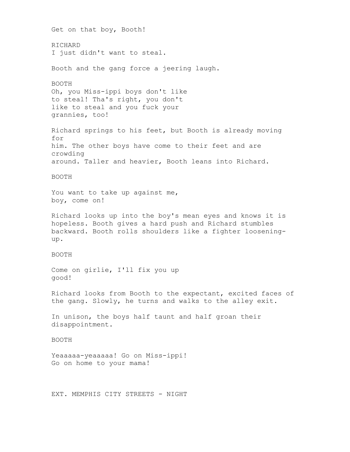Get on that boy, Booth! RICHARD I just didn't want to steal. Booth and the gang force a jeering laugh. BOOTH Oh, you Miss-ippi boys don't like to steal! Tha's right, you don't like to steal and you fuck your grannies, too! Richard springs to his feet, but Booth is already moving for him. The other boys have come to their feet and are crowding around. Taller and heavier, Booth leans into Richard. BOOTH You want to take up against me, boy, come on! Richard looks up into the boy's mean eyes and knows it is hopeless. Booth gives a hard push and Richard stumbles backward. Booth rolls shoulders like a fighter looseningup. BOOTH Come on girlie, I'll fix you up good! Richard looks from Booth to the expectant, excited faces of the gang. Slowly, he turns and walks to the alley exit. In unison, the boys half taunt and half groan their disappointment. BOOTH Yeaaaaa-yeaaaaa! Go on Miss-ippi! Go on home to your mama! EXT. MEMPHIS CITY STREETS - NIGHT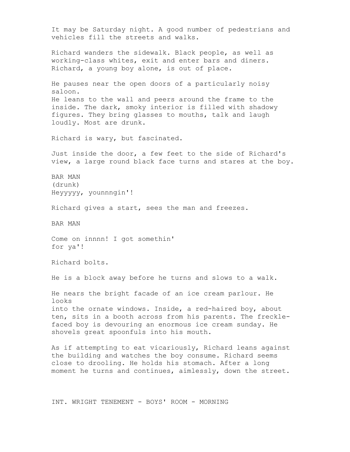It may be Saturday night. A good number of pedestrians and vehicles fill the streets and walks. Richard wanders the sidewalk. Black people, as well as working-class whites, exit and enter bars and diners. Richard, a young boy alone, is out of place. He pauses near the open doors of a particularly noisy saloon. He leans to the wall and peers around the frame to the inside. The dark, smoky interior is filled with shadowy figures. They bring glasses to mouths, talk and laugh loudly. Most are drunk. Richard is wary, but fascinated. Just inside the door, a few feet to the side of Richard's view, a large round black face turns and stares at the boy. BAR MAN (drunk) Heyyyyy, younnngin'! Richard gives a start, sees the man and freezes. BAR MAN Come on innnn! I got somethin' for ya'! Richard bolts. He is a block away before he turns and slows to a walk. He nears the bright facade of an ice cream parlour. He looks into the ornate windows. Inside, a red-haired boy, about ten, sits in a booth across from his parents. The frecklefaced boy is devouring an enormous ice cream sunday. He shovels great spoonfuls into his mouth. As if attempting to eat vicariously, Richard leans against the building and watches the boy consume. Richard seems close to drooling. He holds his stomach. After a long moment he turns and continues, aimlessly, down the street.

INT. WRIGHT TENEMENT - BOYS' ROOM - MORNING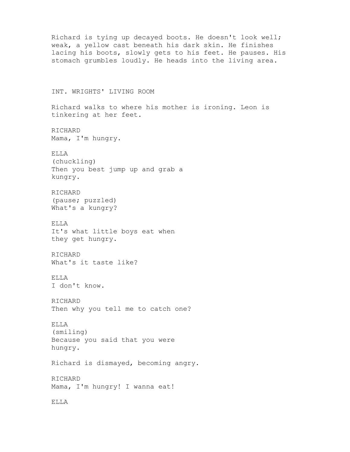```
Richard is tying up decayed boots. He doesn't look well;
weak, a yellow cast beneath his dark skin. He finishes
lacing his boots, slowly gets to his feet. He pauses. His
stomach grumbles loudly. He heads into the living area.
INT. WRIGHTS' LIVING ROOM
Richard walks to where his mother is ironing. Leon is
tinkering at her feet.
RICHARD
Mama, I'm hungry.
ELLA
(chuckling)
Then you best jump up and grab a
kungry.
RICHARD
(pause; puzzled)
What's a kungry?
ELLA
It's what little boys eat when
they get hungry.
RICHARD
What's it taste like?
ELLA
I don't know.
RICHARD
Then why you tell me to catch one?
ELLA
(smiling)
Because you said that you were
hungry.
Richard is dismayed, becoming angry.
RICHARD
Mama, I'm hungry! I wanna eat!
```
ELLA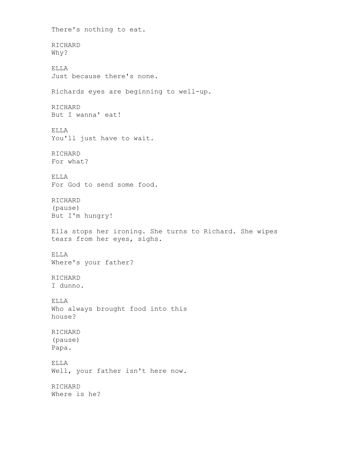There's nothing to eat. RICHARD Why? ELLA Just because there's none. Richards eyes are beginning to well-up. RICHARD But I wanna' eat! ELLA You'll just have to wait. RICHARD For what? ELLA For God to send some food. RICHARD (pause) But I'm hungry! Ella stops her ironing. She turns to Richard. She wipes tears from her eyes, sighs. ELLA Where's your father? RICHARD I dunno. ELLA Who always brought food into this house? RICHARD (pause) Papa. ELLA Well, your father isn't here now. RICHARD Where is he?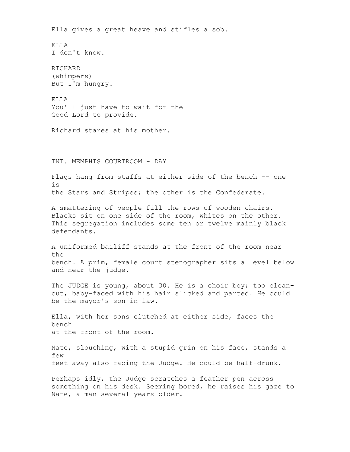Ella gives a great heave and stifles a sob. ELLA I don't know. RICHARD (whimpers) But I'm hungry. ELLA You'll just have to wait for the Good Lord to provide. Richard stares at his mother. INT. MEMPHIS COURTROOM - DAY Flags hang from staffs at either side of the bench -- one is the Stars and Stripes; the other is the Confederate. A smattering of people fill the rows of wooden chairs. Blacks sit on one side of the room, whites on the other. This segregation includes some ten or twelve mainly black defendants. A uniformed bailiff stands at the front of the room near the bench. A prim, female court stenographer sits a level below and near the judge. The JUDGE is young, about 30. He is a choir boy; too cleancut, baby-faced with his hair slicked and parted. He could be the mayor's son-in-law. Ella, with her sons clutched at either side, faces the bench at the front of the room. Nate, slouching, with a stupid grin on his face, stands a few feet away also facing the Judge. He could be half-drunk. Perhaps idly, the Judge scratches a feather pen across something on his desk. Seeming bored, he raises his gaze to Nate, a man several years older.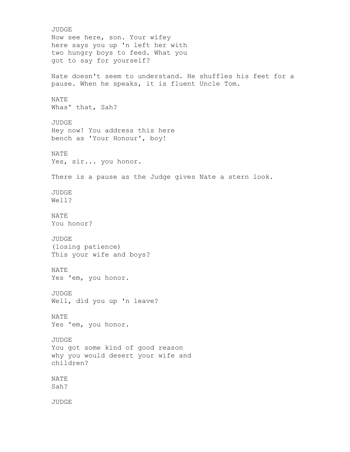JUDGE Now see here, son. Your wifey here says you up 'n left her with two hungry boys to feed. What you got to say for yourself? Nate doesn't seem to understand. He shuffles his feet for a pause. When he speaks, it is fluent Uncle Tom. NATE Whas' that, Sah? JUDGE Hey now! You address this here bench as 'Your Honour', boy! NATE Yes, sir... you honor. There is a pause as the Judge gives Nate a stern look. JUDGE Well? NATE You honor? JUDGE (losing patience) This your wife and boys? NATE Yes 'em, you honor. JUDGE Well, did you up 'n leave? NATE Yes 'em, you honor. JUDGE You got some kind of good reason why you would desert your wife and children? NATE Sah? JUDGE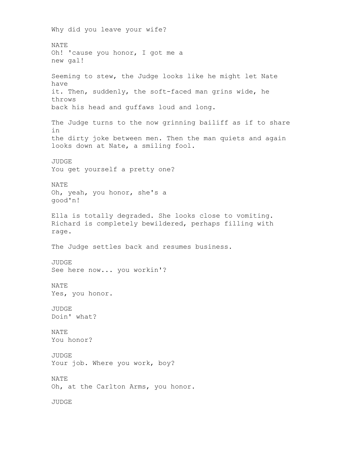Why did you leave your wife? NATE Oh! 'cause you honor, I got me a new gal! Seeming to stew, the Judge looks like he might let Nate have it. Then, suddenly, the soft-faced man grins wide, he throws back his head and guffaws loud and long. The Judge turns to the now grinning bailiff as if to share in the dirty joke between men. Then the man quiets and again looks down at Nate, a smiling fool. **JUDGE** You get yourself a pretty one? NATE Oh, yeah, you honor, she's a good'n! Ella is totally degraded. She looks close to vomiting. Richard is completely bewildered, perhaps filling with rage. The Judge settles back and resumes business. JUDGE See here now... you workin'? NATE Yes, you honor. JUDGE Doin' what? NATE You honor? JUDGE Your job. Where you work, boy? NATE Oh, at the Carlton Arms, you honor. JUDGE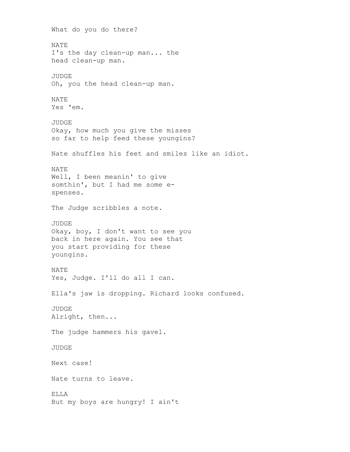What do you do there? NATE I's the day clean-up man... the head clean-up man. JUDGE Oh, you the head clean-up man. NATE Yes 'em. JUDGE Okay, how much you give the misses so far to help feed these youngins? Nate shuffles his feet and smiles like an idiot. NATE Well, I been meanin' to give somthin', but I had me some espenses. The Judge scribbles a note. JUDGE Okay, boy, I don't want to see you back in here again. You see that you start providing for these youngins. NATE Yes, Judge. I'll do all I can. Ella's jaw is dropping. Richard looks confused. JUDGE Alright, then... The judge hammers his gavel. JUDGE Next case! Nate turns to leave. ELLA But my boys are hungry! I ain't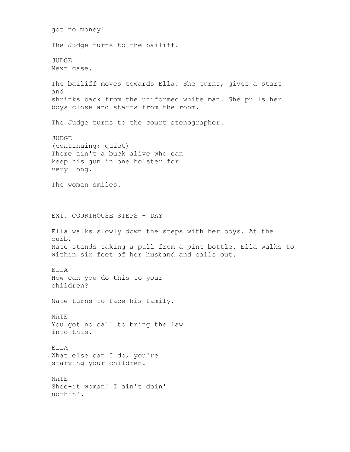got no money! The Judge turns to the bailiff. JUDGE Next case. The bailiff moves towards Ella. She turns, gives a start and shrinks back from the uniformed white man. She pulls her boys close and starts from the room. The Judge turns to the court stenographer. JUDGE (continuing; quiet) There ain't a buck alive who can keep his gun in one holster for very long. The woman smiles. EXT. COURTHOUSE STEPS - DAY Ella walks slowly down the steps with her boys. At the curb, Nate stands taking a pull from a pint bottle. Ella walks to within six feet of her husband and calls out. ELLA How can you do this to your children? Nate turns to face his family. NATE You got no call to bring the law into this. ELLA What else can I do, you're starving your children. NATE Shee-it woman! I ain't doin' nothin'.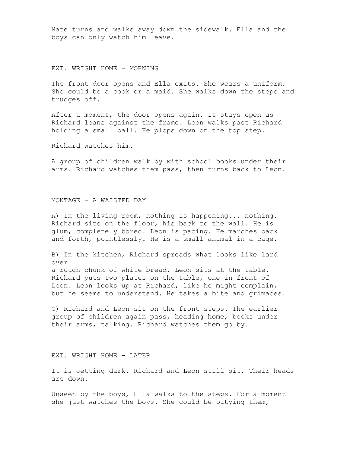Nate turns and walks away down the sidewalk. Ella and the boys can only watch him leave.

EXT. WRIGHT HOME - MORNING

The front door opens and Ella exits. She wears a uniform. She could be a cook or a maid. She walks down the steps and trudges off.

After a moment, the door opens again. It stays open as Richard leans against the frame. Leon walks past Richard holding a small ball. He plops down on the top step.

Richard watches him.

A group of children walk by with school books under their arms. Richard watches them pass, then turns back to Leon.

MONTAGE - A WAISTED DAY

A) In the living room, nothing is happening... nothing. Richard sits on the floor, his back to the wall. He is glum, completely bored. Leon is pacing. He marches back and forth, pointlessly. He is a small animal in a cage.

B) In the kitchen, Richard spreads what looks like lard over

a rough chunk of white bread. Leon sits at the table. Richard puts two plates on the table, one in front of Leon. Leon looks up at Richard, like he might complain, but he seems to understand. He takes a bite and grimaces.

C) Richard and Leon sit on the front steps. The earlier group of children again pass, heading home, books under their arms, talking. Richard watches them go by.

EXT. WRIGHT HOME - LATER

It is getting dark. Richard and Leon still sit. Their heads are down.

Unseen by the boys, Ella walks to the steps. For a moment she just watches the boys. She could be pitying them,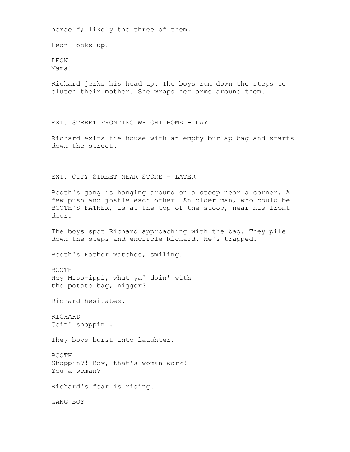herself; likely the three of them.

Leon looks up.

LEON Mama!

Richard jerks his head up. The boys run down the steps to clutch their mother. She wraps her arms around them.

EXT. STREET FRONTING WRIGHT HOME - DAY

Richard exits the house with an empty burlap bag and starts down the street.

EXT. CITY STREET NEAR STORE - LATER

Booth's gang is hanging around on a stoop near a corner. A few push and jostle each other. An older man, who could be BOOTH'S FATHER, is at the top of the stoop, near his front door.

The boys spot Richard approaching with the bag. They pile down the steps and encircle Richard. He's trapped.

Booth's Father watches, smiling.

BOOTH Hey Miss-ippi, what ya' doin' with the potato bag, nigger?

Richard hesitates.

RICHARD Goin' shoppin'.

They boys burst into laughter.

BOOTH Shoppin?! Boy, that's woman work! You a woman?

Richard's fear is rising.

GANG BOY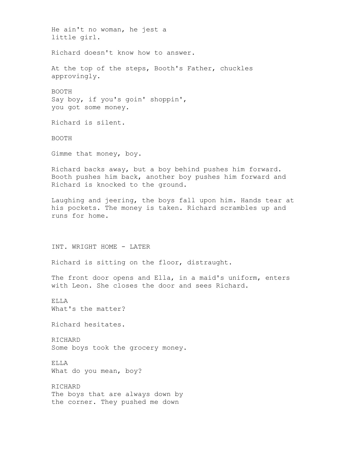He ain't no woman, he jest a little girl. Richard doesn't know how to answer. At the top of the steps, Booth's Father, chuckles approvingly. BOOTH Say boy, if you's goin' shoppin', you got some money. Richard is silent. BOOTH Gimme that money, boy. Richard backs away, but a boy behind pushes him forward. Booth pushes him back, another boy pushes him forward and Richard is knocked to the ground. Laughing and jeering, the boys fall upon him. Hands tear at his pockets. The money is taken. Richard scrambles up and runs for home. INT. WRIGHT HOME - LATER Richard is sitting on the floor, distraught. The front door opens and Ella, in a maid's uniform, enters with Leon. She closes the door and sees Richard. ELLA What's the matter? Richard hesitates. RICHARD Some boys took the grocery money. ELLA What do you mean, boy? RICHARD The boys that are always down by the corner. They pushed me down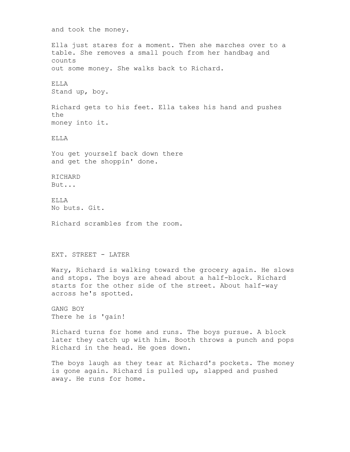and took the money. Ella just stares for a moment. Then she marches over to a table. She removes a small pouch from her handbag and counts out some money. She walks back to Richard. ELLA Stand up, boy. Richard gets to his feet. Ella takes his hand and pushes the money into it. ELLA You get yourself back down there and get the shoppin' done. RICHARD But... ELLA No buts. Git. Richard scrambles from the room. EXT. STREET - LATER Wary, Richard is walking toward the grocery again. He slows and stops. The boys are ahead about a half-block. Richard starts for the other side of the street. About half-way across he's spotted. GANG BOY There he is 'gain! Richard turns for home and runs. The boys pursue. A block later they catch up with him. Booth throws a punch and pops Richard in the head. He goes down. The boys laugh as they tear at Richard's pockets. The money is gone again. Richard is pulled up, slapped and pushed away. He runs for home.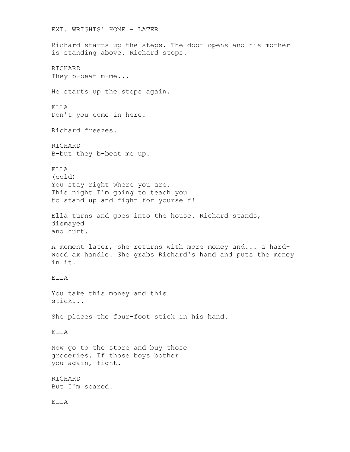EXT. WRIGHTS' HOME - LATER Richard starts up the steps. The door opens and his mother is standing above. Richard stops. RICHARD They b-beat m-me... He starts up the steps again. ELLA Don't you come in here. Richard freezes. RICHARD B-but they b-beat me up. ELLA (cold) You stay right where you are. This night I'm going to teach you to stand up and fight for yourself! Ella turns and goes into the house. Richard stands, dismayed and hurt. A moment later, she returns with more money and... a hardwood ax handle. She grabs Richard's hand and puts the money in it. ELLA You take this money and this stick... She places the four-foot stick in his hand. ELLA Now go to the store and buy those groceries. If those boys bother you again, fight. RICHARD But I'm scared. ELLA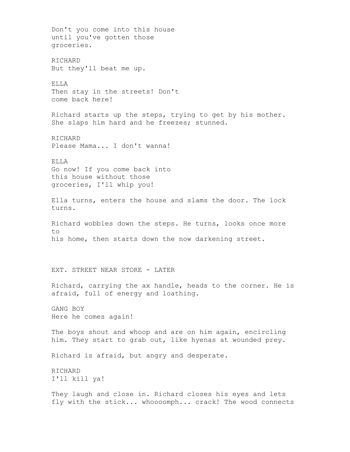Don't you come into this house until you've gotten those groceries. RICHARD But they'll beat me up. ELLA Then stay in the streets! Don't come back here! Richard starts up the steps, trying to get by his mother. She slaps him hard and he freezes; stunned. RICHARD Please Mama... I don't wanna! ELLA Go now! If you come back into this house without those groceries, I'll whip you! Ella turns, enters the house and slams the door. The lock turns. Richard wobbles down the steps. He turns, looks once more to his home, then starts down the now darkening street. EXT. STREET NEAR STORE - LATER Richard, carrying the ax handle, heads to the corner. He is afraid, full of energy and loathing. GANG BOY Here he comes again! The boys shout and whoop and are on him again, encircling him. They start to grab out, like hyenas at wounded prey. Richard is afraid, but angry and desperate. RICHARD I'll kill ya! They laugh and close in. Richard closes his eyes and lets fly with the stick... whoooomph... crack! The wood connects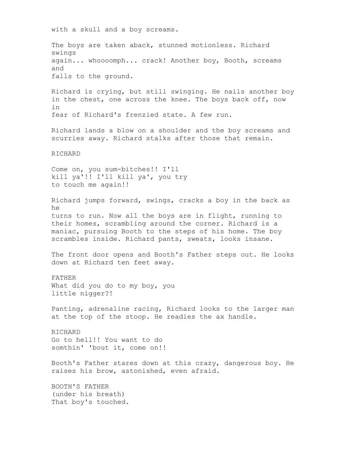with a skull and a boy screams.

The boys are taken aback, stunned motionless. Richard swings again... whoooomph... crack! Another boy, Booth, screams and falls to the ground.

Richard is crying, but still swinging. He nails another boy in the chest, one across the knee. The boys back off, now in fear of Richard's frenzied state. A few run.

Richard lands a blow on a shoulder and the boy screams and scurries away. Richard stalks after those that remain.

RICHARD

Come on, you sum-bitches!! I'll kill ya'!! I'll kill ya', you try to touch me again!!

Richard jumps forward, swings, cracks a boy in the back as he turns to run. Now all the boys are in flight, running to their homes, scrambling around the corner. Richard is a maniac, pursuing Booth to the steps of his home. The boy scrambles inside. Richard pants, sweats, looks insane.

The front door opens and Booth's Father steps out. He looks down at Richard ten feet away.

FATHER What did you do to my boy, you little nigger?!

Panting, adrenaline racing, Richard looks to the larger man at the top of the stoop. He readies the ax handle.

RICHARD Go to hell!! You want to do somthin' 'bout it, come on!!

Booth's Father stares down at this crazy, dangerous boy. He raises his brow, astonished, even afraid.

BOOTH'S FATHER (under his breath) That boy's touched.